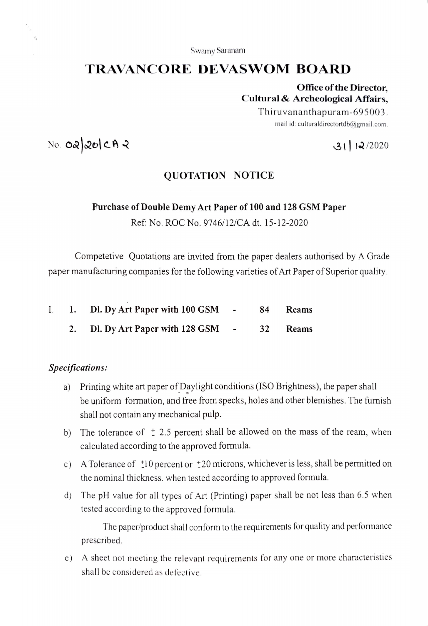Swamy Saranam

# TRAVANCORE DEVASWOM BOARD

Office of the Director, Cultural & Archeological Affairs,

> Thiruvananthapuram-695003. mail id: culturaldirectortdb@gmail.com.

 $N$ o. Oa $|$ 20 $|$ CA $|$ 

## QUOTATION NOTICE

### Purchase of Double Demy Art Paper of 100 and 128 GSM Paper

Ref: No. ROC No. 9746/12/CA dt. 15-12-2020

Competetive Quotations are invited from the paper dealers authorised by A Grade paper manufacturing companies for the following varieties of Art Paper of Superior quality.

|  | 1. Dl. Dy Art Paper with 100 GSM - |  | 84 Reams |
|--|------------------------------------|--|----------|
|  | 2. Dl. Dy Art Paper with 128 GSM - |  | 32 Reams |

## Specifications:

- a) Printing white art paper of Daylight conditions (ISO Brightness), the paper shall be uniform formation, and free from specks, holes and other blemishes. The furmish shall not contain any mechanical pulp.
- b) The tolerance of  $\pm$  2.5 percent shall be allowed on the mass of the ream, when calculated according to the approved formula.
- c) A Tolerance of  $\pm 10$  percent or  $\pm 20$  microns, whichever is less, shall be permitted on the nominal thickness. when tested according to approved formula.
- d) The pH value for all types of Art (Printing) paper shall be not less than 6.5 when tested according to the approved formula.

The paper/product shall conform to the requirements for quality and pertormance prescribed.

e) A sheet not meeting the relevant requirements for any one or more characteristies shall be considered as defective.